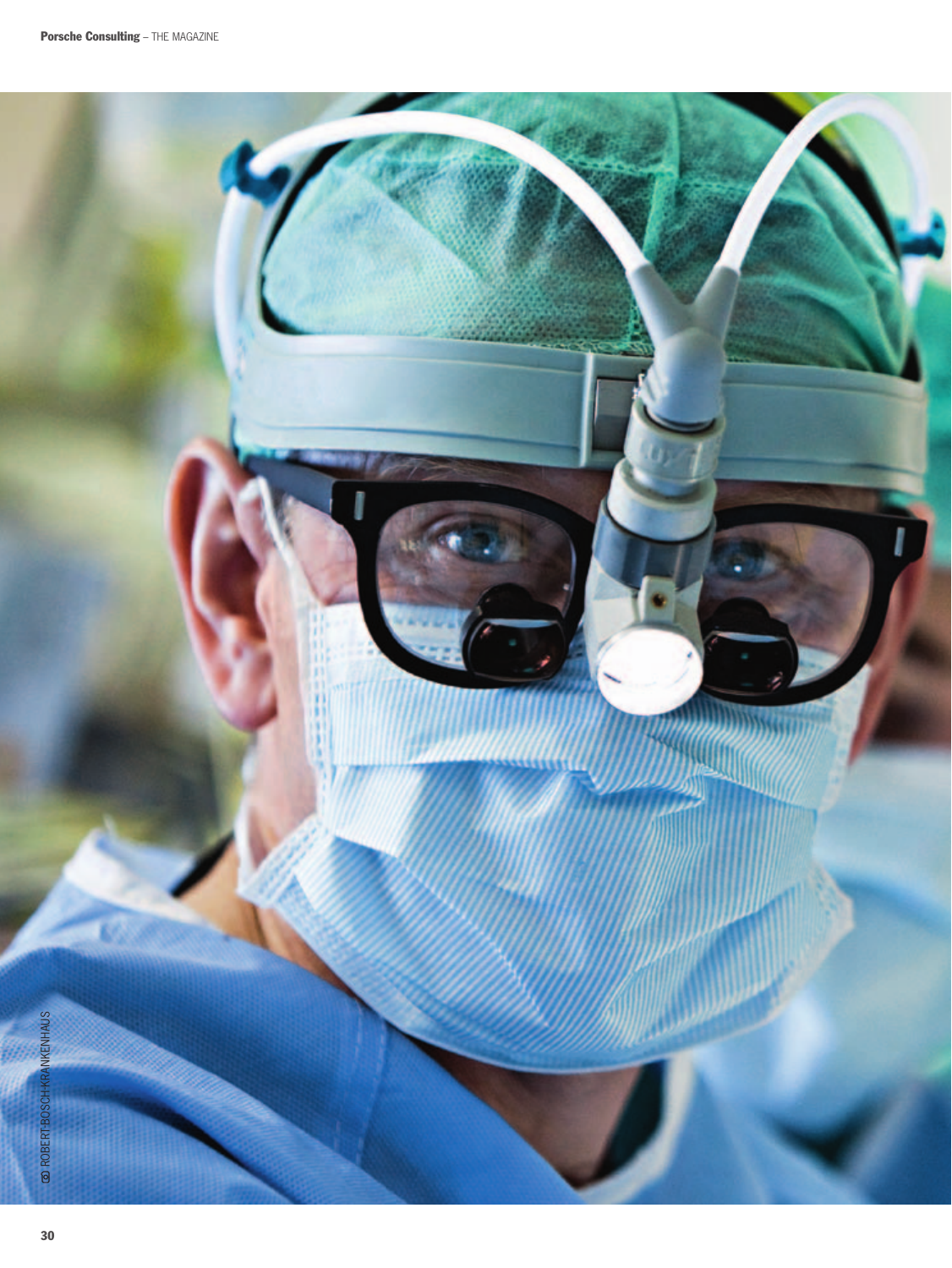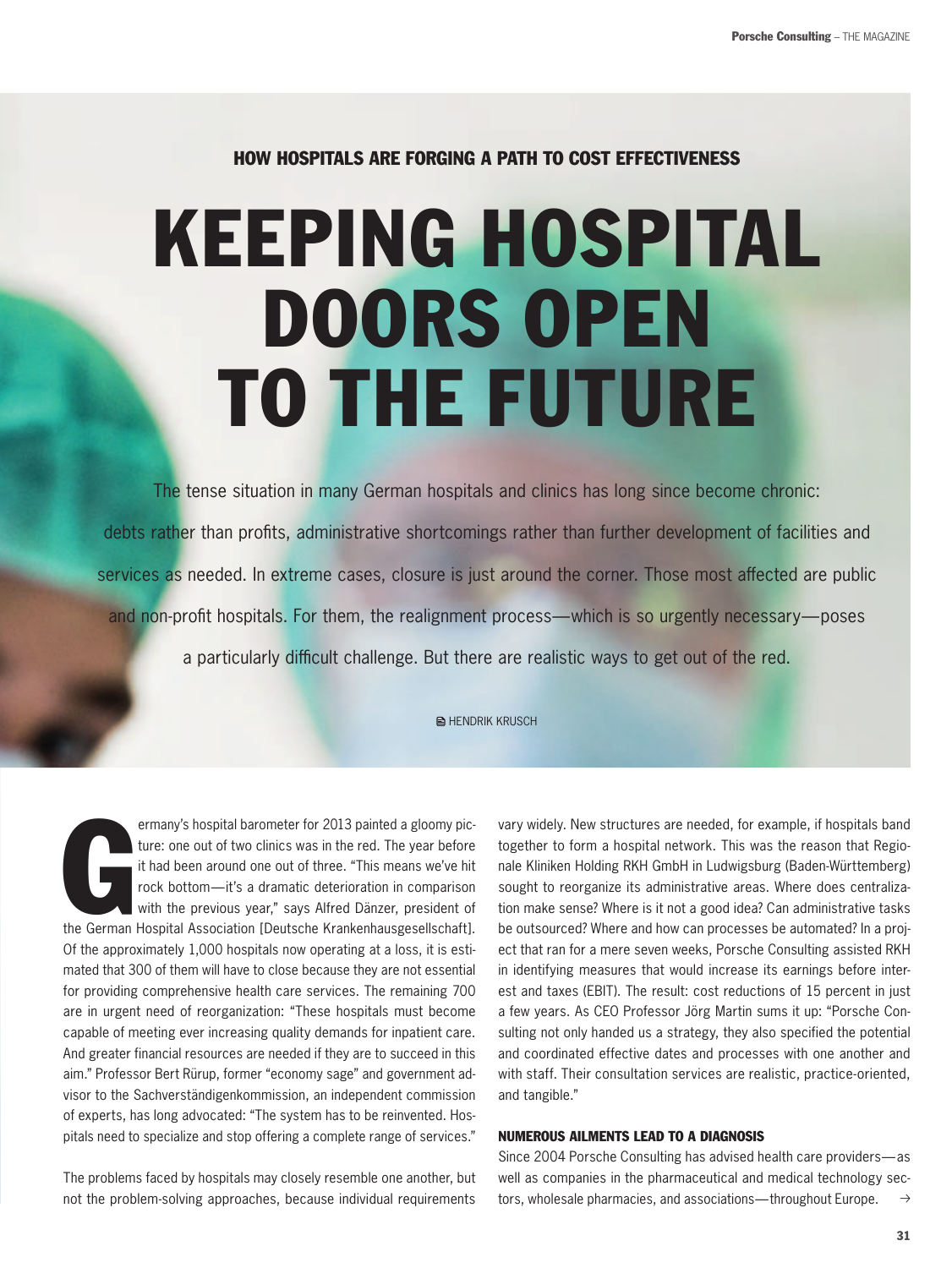# How Hospitals are Forging a Path to Cost Effectiveness

# Keeping Hospital Doors Open To the Future

The tense situation in many German hospitals and clinics has long since become chronic: debts rather than profits, administrative shortcomings rather than further development of facilities and services as needed. In extreme cases, closure is just around the corner. Those most affected are public and non-profit hospitals. For them, the realignment process—which is so urgently necessary—poses a particularly difficult challenge. But there are realistic ways to get out of the red.

**E** HENDRIK KRUSCH

ermany's hospital barometer for 2013 painted a gloomy picture: one out of two clinics was in the red. The year before it had been around one out of three. "This means we've hit rock bottom—it's a dramatic deterioration in ermany's hospital barometer for 2013 painted a gloomy picture: one out of two clinics was in the red. The year before it had been around one out of three. "This means we've hit rock bottom—it's a dramatic deterioration in comparison with the previous year," says Alfred Dänzer, president of Of the approximately 1,000 hospitals now operating at a loss, it is estimated that 300 of them will have to close because they are not essential for providing comprehensive health care services. The remaining 700 are in urgent need of reorganization: "These hospitals must become capable of meeting ever increasing quality demands for inpatient care. And greater financial resources are needed if they are to succeed in this aim." Professor Bert Rürup, former "economy sage" and government advisor to the Sachverständigenkommission, an independent commission of experts, has long advocated: "The system has to be reinvented. Hospitals need to specialize and stop offering a complete range of services."

The problems faced by hospitals may closely resemble one another, but not the problem-solving approaches, because individual requirements

vary widely. New structures are needed, for example, if hospitals band together to form a hospital network. This was the reason that Regionale Kliniken Holding RKH GmbH in Ludwigsburg (Baden-Württemberg) sought to reorganize its administrative areas. Where does centralization make sense? Where is it not a good idea? Can administrative tasks be outsourced? Where and how can processes be automated? In a project that ran for a mere seven weeks, Porsche Consulting assisted RKH in identifying measures that would increase its earnings before interest and taxes (EBIT). The result: cost reductions of 15 percent in just a few years. As CEO Professor Jörg Martin sums it up: "Porsche Consulting not only handed us a strategy, they also specified the potential and coordinated effective dates and processes with one another and with staff. Their consultation services are realistic, practice-oriented, and tangible."

#### Numerous ailments lead to a diagnosis

Since 2004 Porsche Consulting has advised health care providers—as well as companies in the pharmaceutical and medical technology sectors, wholesale pharmacies, and associations—throughout Europe.  $\rightarrow$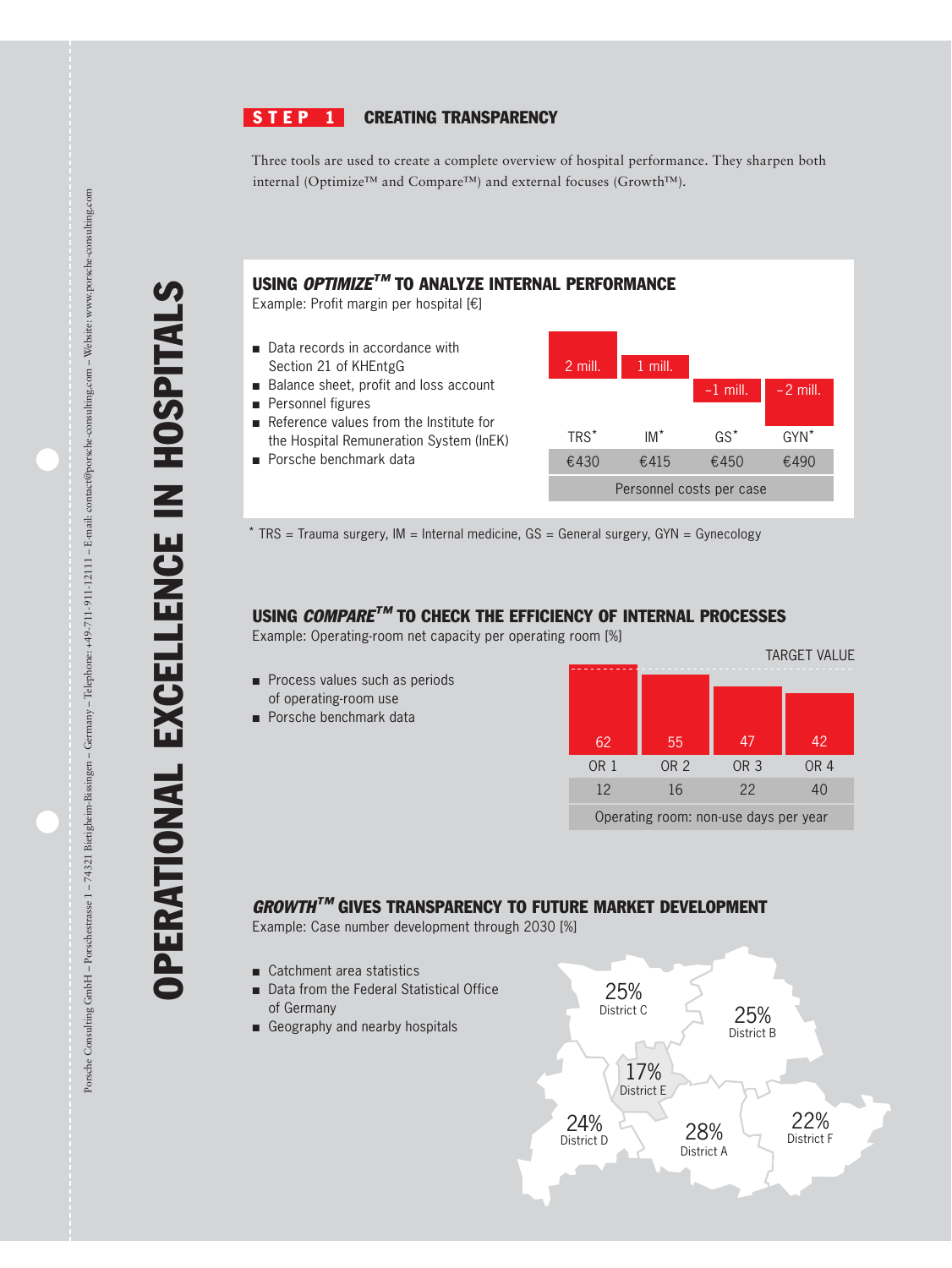#### $STEP<sub>1</sub>$ Creating transparency

Three tools are used to create a complete overview of hospital performance. They sharpen both internal (Optimize™ and Compare™) and external focuses (Growth™).

## Using *Optimize™* to analyze internal Performance

Example: Profit margin per hospital [€]

- Data records in accordance with Section 21 of KHEntgG
- Balance sheet, profit and loss account
- Personnel figures
- Reference values from the Institute for the Hospital Remuneration System (InEK)
- Porsche benchmark data



 $*$  TRS = Trauma surgery, IM = Internal medicine,  $GS$  = General surgery,  $GYN$  = Gynecology

## Using *Compare™* to check the efficiency of internal processes

Example: Operating-room net capacity per operating room [%]

- Process values such as periods of operating-room use
- Porsche benchmark data



## *Growth™* gives transparency to future market development

Example: Case number development through 2030 [%]

- Catchment area statistics
- Data from the Federal Statistical Office of Germany
- Geography and nearby hospitals



Operational ex

cellen

ce in

hospitals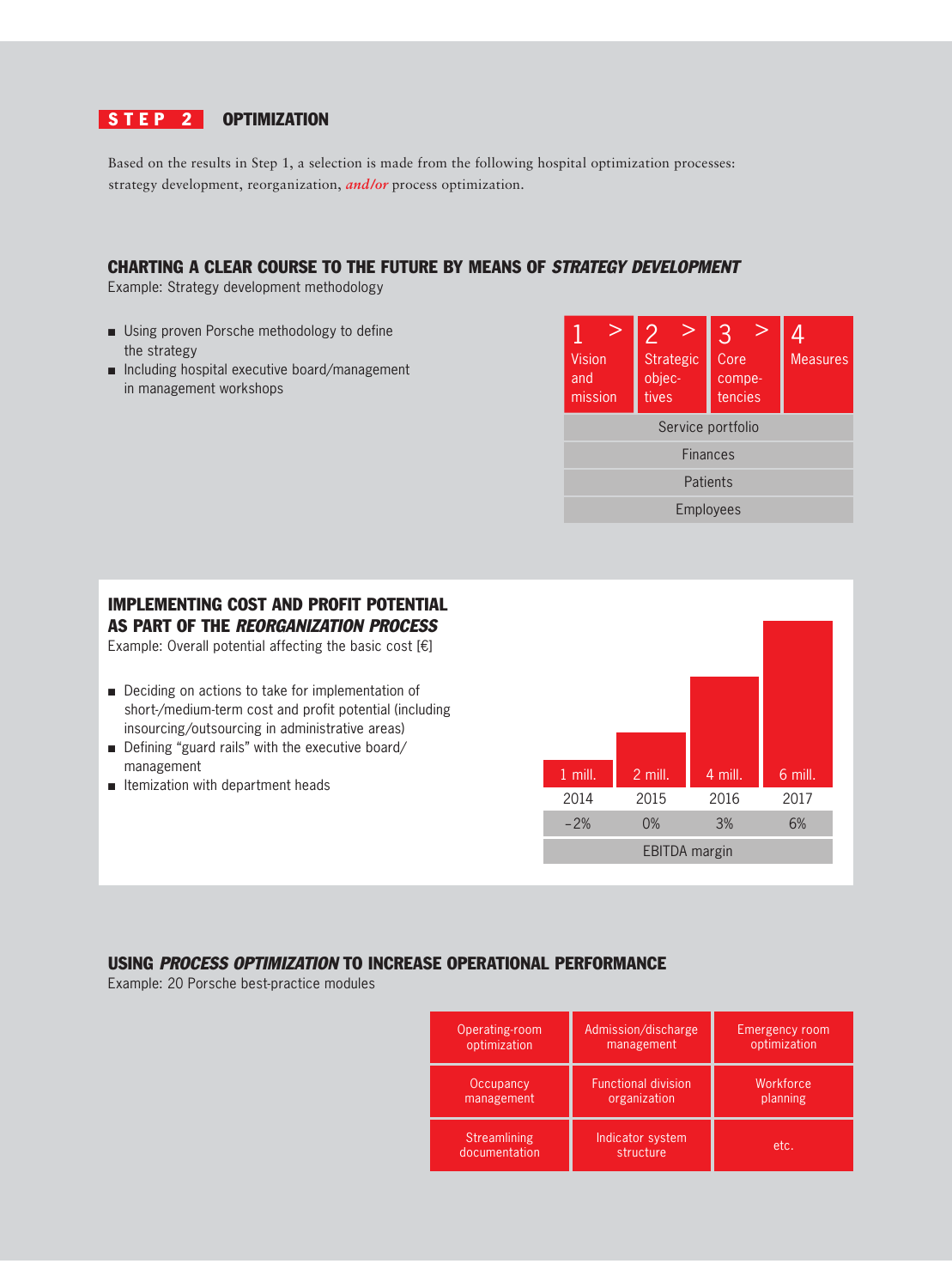## STEP 2 OPTIMIZATION

Based on the results in Step 1, a selection is made from the following hospital optimization processes: strategy development, reorganization, *and/or* process optimization.

## Charting a clear course to the future by means of *Strategy Development*

Example: Strategy development methodology

- Using proven Porsche methodology to define the strategy
- Including hospital executive board/management in management workshops



# Implementing cost and profit potential as part of the *Reorganization process*

Example: Overall potential affecting the basic cost [€]

- Deciding on actions to take for implementation of short-/medium-term cost and profit potential (including insourcing/outsourcing in administrative areas)
- Defining "guard rails" with the executive board/ management
- Itemization with department heads



## Using *Process Optimization* to increase operational performance

Example: 20 Porsche best-practice modules

| Operating-room                | Admission/discharge           | <b>Emergency room</b> |
|-------------------------------|-------------------------------|-----------------------|
| optimization                  | management                    | optimization          |
| Occupancy                     | <b>Functional division</b>    | Workforce             |
| management                    | organization                  | planning              |
| Streamlining<br>documentation | Indicator system<br>structure | etc.                  |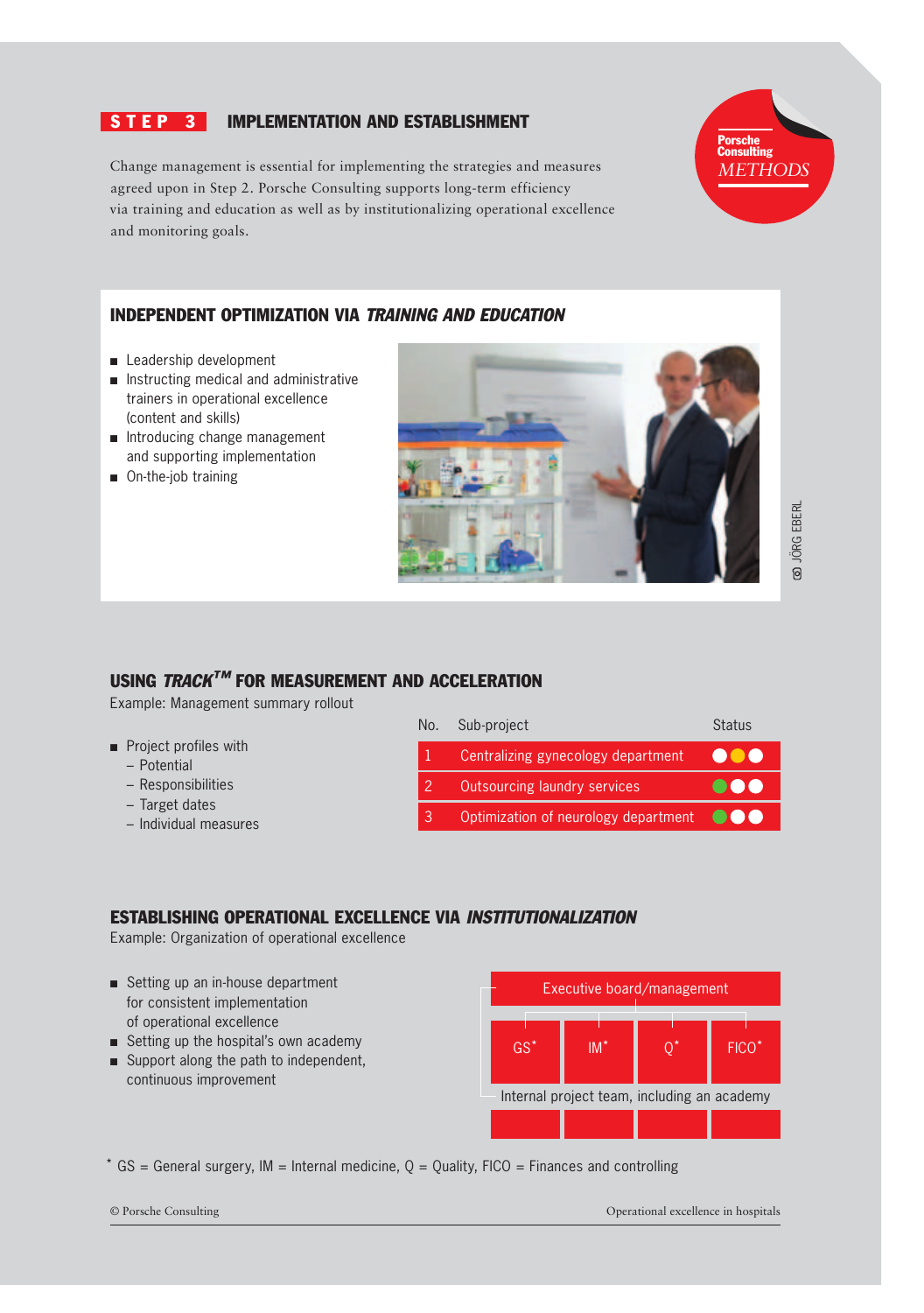## S **T E P 3** IMPLEMENTATION AND ESTABLISHMENT

Change management is essential for implementing the strategies and measures agreed upon in Step 2. Porsche Consulting supports long-term efficiency via training and education as well as by institutionalizing operational excellence and monitoring goals.



## Independent optimization via *Training and Education*

- Leadership development
- Instructing medical and administrative trainers in operational excellence (content and skills)
- Introducing change management and supporting implementation
- On-the-job training



 Jörg Eberl **Q** JÖRG EBERL

## Using *Track™* for measurement and acceleration

Example: Management summary rollout

- Project profiles with
	- Potential
	- Responsibilities
	- Target dates
	- Individual measures



#### Establishing operational excellence via *Institutionalization*

Example: Organization of operational excellence

- Setting up an in-house department for consistent implementation of operational excellence
- Setting up the hospital's own academy
- Support along the path to independent, continuous improvement



 $*$  GS = General surgery, IM = Internal medicine, Q = Quality, FICO = Finances and controlling